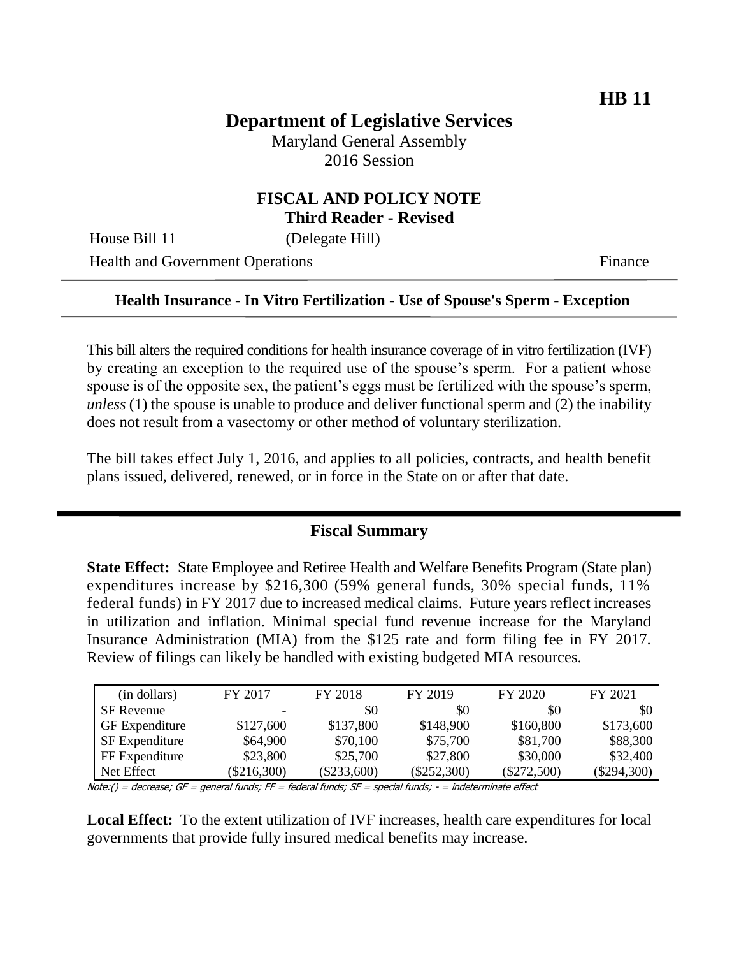# **Department of Legislative Services**

Maryland General Assembly 2016 Session

### **FISCAL AND POLICY NOTE Third Reader - Revised**

House Bill 11 (Delegate Hill)

Health and Government Operations Finance

#### **Health Insurance - In Vitro Fertilization - Use of Spouse's Sperm - Exception**

This bill alters the required conditions for health insurance coverage of in vitro fertilization (IVF) by creating an exception to the required use of the spouse's sperm. For a patient whose spouse is of the opposite sex, the patient's eggs must be fertilized with the spouse's sperm, *unless* (1) the spouse is unable to produce and deliver functional sperm and (2) the inability does not result from a vasectomy or other method of voluntary sterilization.

The bill takes effect July 1, 2016, and applies to all policies, contracts, and health benefit plans issued, delivered, renewed, or in force in the State on or after that date.

#### **Fiscal Summary**

**State Effect:** State Employee and Retiree Health and Welfare Benefits Program (State plan) expenditures increase by \$216,300 (59% general funds, 30% special funds, 11% federal funds) in FY 2017 due to increased medical claims. Future years reflect increases in utilization and inflation. Minimal special fund revenue increase for the Maryland Insurance Administration (MIA) from the \$125 rate and form filing fee in FY 2017. Review of filings can likely be handled with existing budgeted MIA resources.

| FY 2017       | FY 2018       | FY 2019       | FY 2020       | FY 2021       |
|---------------|---------------|---------------|---------------|---------------|
| -             | \$0           | \$0           | \$0           | \$0           |
| \$127,600     | \$137,800     | \$148,900     | \$160,800     | \$173,600     |
| \$64,900      | \$70,100      | \$75,700      | \$81,700      | \$88,300      |
| \$23,800      | \$25,700      | \$27,800      | \$30,000      | \$32,400      |
| $(\$216,300)$ | $(\$233,600)$ | $(\$252,300)$ | $(\$272,500)$ | $(\$294,300)$ |
|               |               |               |               |               |

 $Note: ( ) = decrease; GF = general funds; FF = federal funds; SF = special funds; -- in determine the same data.$ 

**Local Effect:** To the extent utilization of IVF increases, health care expenditures for local governments that provide fully insured medical benefits may increase.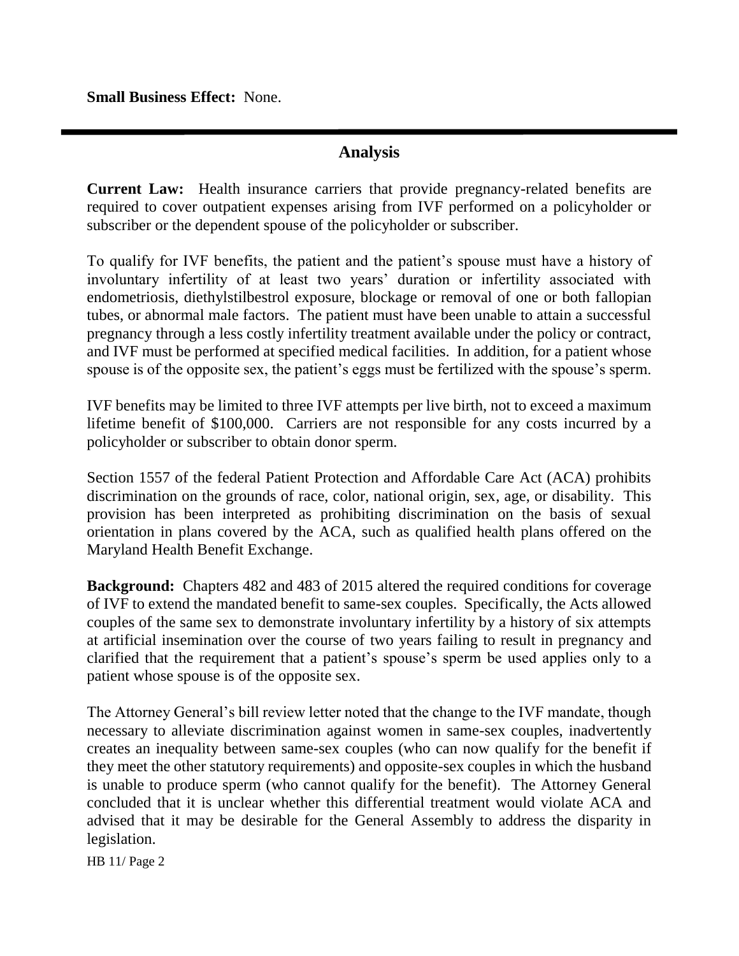**Small Business Effect:** None.

### **Analysis**

**Current Law:** Health insurance carriers that provide pregnancy-related benefits are required to cover outpatient expenses arising from IVF performed on a policyholder or subscriber or the dependent spouse of the policyholder or subscriber.

To qualify for IVF benefits, the patient and the patient's spouse must have a history of involuntary infertility of at least two years' duration or infertility associated with endometriosis, diethylstilbestrol exposure, blockage or removal of one or both fallopian tubes, or abnormal male factors. The patient must have been unable to attain a successful pregnancy through a less costly infertility treatment available under the policy or contract, and IVF must be performed at specified medical facilities. In addition, for a patient whose spouse is of the opposite sex, the patient's eggs must be fertilized with the spouse's sperm.

IVF benefits may be limited to three IVF attempts per live birth, not to exceed a maximum lifetime benefit of \$100,000. Carriers are not responsible for any costs incurred by a policyholder or subscriber to obtain donor sperm.

Section 1557 of the federal Patient Protection and Affordable Care Act (ACA) prohibits discrimination on the grounds of race, color, national origin, sex, age, or disability. This provision has been interpreted as prohibiting discrimination on the basis of sexual orientation in plans covered by the ACA, such as qualified health plans offered on the Maryland Health Benefit Exchange.

**Background:** Chapters 482 and 483 of 2015 altered the required conditions for coverage of IVF to extend the mandated benefit to same-sex couples. Specifically, the Acts allowed couples of the same sex to demonstrate involuntary infertility by a history of six attempts at artificial insemination over the course of two years failing to result in pregnancy and clarified that the requirement that a patient's spouse's sperm be used applies only to a patient whose spouse is of the opposite sex.

The Attorney General's bill review letter noted that the change to the IVF mandate, though necessary to alleviate discrimination against women in same-sex couples, inadvertently creates an inequality between same-sex couples (who can now qualify for the benefit if they meet the other statutory requirements) and opposite-sex couples in which the husband is unable to produce sperm (who cannot qualify for the benefit). The Attorney General concluded that it is unclear whether this differential treatment would violate ACA and advised that it may be desirable for the General Assembly to address the disparity in legislation.

HB 11/ Page 2